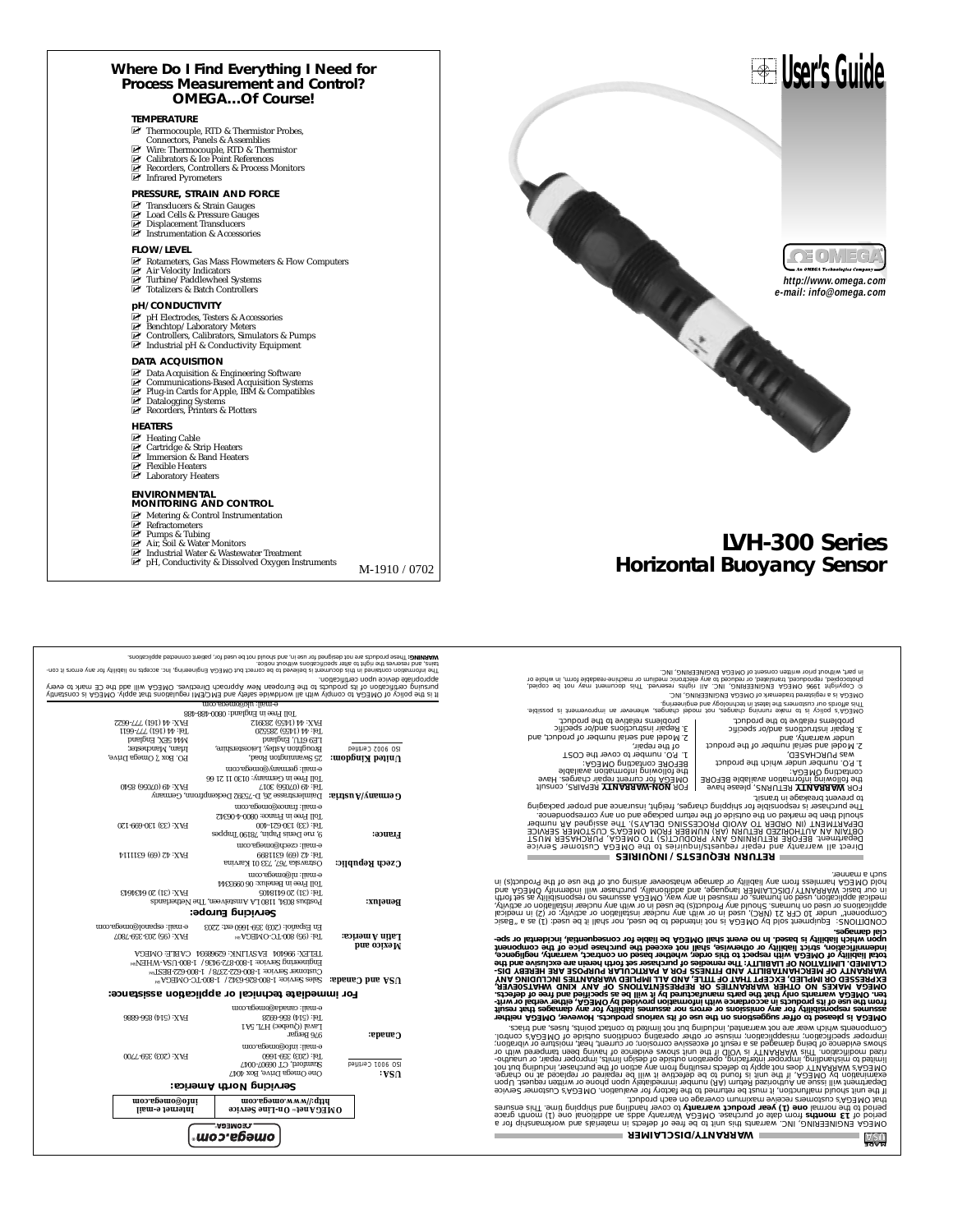#### **Where Do I Find Everything I Need for Process Measurement and Control? OMEGA…Of Course!**

#### **TEMPERATURE**

- 
- 
- 
- <del>Connectors,</del> Panels & Assemblies<br>
Mure: Thermocouple, RTD & Thermistor<br>
MU Wire: Thermocouple, RTD & Thermistor<br>
MU Calibrators & Ice Point References<br>
MU Recorders, Controllers & Process Monitors<br>
MU Infrared Pyrometers
- 

#### **PRESSURE, STRAIN AND FORCE**

- **Transducers & Strain Gauges**<br>■ Load Cells & Pressure Gauges
- 
- Displacement Transducers<br>■ Instrumentation & Accessories

#### **FLOW/LEVEL**

- M⊓Rotameters, Gas Mass Flowmeters & Flow Computers<br>Muriciple Mulicators<br>Muriciple/Paddlewheel Systems<br>Muriciples & Batch Controllers
- 
- 

#### **pH/CONDUCTIVITY**

- 
- 
- ør pH Electrodes, Testers & Accessories<br>Ør Benchtop/Laboratory Meters<br>Ør Controllers, Calibrators, Simulators & Pumps<br>Ør Industrial pH & Conductivity Equipment

- 
- **DATA ACQUISITION**<br> **MU** Data Acquisition & Engineering Software<br>
MU Communications-Based Acquisition Systems<br>
MU Plug-in Cards for Apple, IBM & Compatibles<br>
MU Platalogging Systems<br>
MU Recorders, Printers & Plotters
- 
- 

#### **HEATERS**

- 
- M⊢Heating Cable<br>M⊔ Cartridge & Strip Heaters<br>M⊔ Immersion & Band Heaters<br>M⊔ Laboratory Heaters
- 
- 
- 

#### **ENVIRONMENTAL MONITORING AND CONTROL**

- 
- 
- 
- Ø™ Metering & Control Instrumentation<br>Ø™ Refractometers<br>Ø™ Pumps & Tubing<br>Ø™ Air, Soil & Water Monitors
- 
- $\overline{\mathbb{P}}$  Industrial Water & Wastewater Treatment<br> $\overline{\mathbb{P}}$  pH, Conductivity & Dissolved Oxygen Instruments  $\overline{\text{M-}1910}$  /  $0702$

FAX: 44 (1455) 283912 FAX: 44 (161) 777-6622

ash-88b-0080 :bnaigard at 9711 [0]<br>Winsiznoo at AO3IMO .viqqs isril zootislupe 31.html<br>here of Macma 30 and bbs line AO3IMO .exvilosid character also shiwbhow lis ritive yiqmoo of AO3IMO to voileg<br>Yeve of Macma 30 and bbs

**Horizontal Buoyancy Sensor**

DMECA is a registrated trademark of OMEGA ENGINEERING. INC.<br>Indotectively that GONE OWERS ENVERTENING, INC. IN eigentronic medium or machine-readable form, in whole or<br>Indotectively of the produced, translated, or reduced

problems relative to the product. [pis affords our customers the latest in technology and engineering.<br>OMEGA's policy is to make running changes, not model changes, whenever an improvement is possible.

3. Repair instructions and/or specific problems relative to the product.

**LVH-300 Series**

- 
- 
- Model and support the material and the material and support the material of the body of the material and the material and the material of the material and the material and the material of the material and the material and
- The purchaser is responsible for shipping charges, freight, insurance and proper packaging to prevent breakage in transit.

Direct all warranty and free building the spiritual free building the spiritual of the spiritual for the spiri<br>particular the spiritual free spiritual free spiritual free spiritual statement of the stational stational sta<br>

o the related number of product,<br>The property of the main temperature of the section<br>of the main temperature of the section<br>of the following the main temperature of the section<br>of the main temperature of the section<br>of the

3. Repair instructions and/or specific

#### **RETURN REQUESTS / INQUIRIES**

alzed " is as (1) :bezu ed fillerit von Josen ed of behneint fon at AO3IMO vd bloe freemopter "2001110/002<br>|spiels" is as (1) :pylitis to notellate in relation virti filler of the post (2010) is the control of the sec<br>|kin

having hallien Apallo (new word is abuto a condiscustion of the spilo of basesiq at Apallo hallien Apallo (new work is bubond auther sit to see of the spilo of basesiq at Apallo hallien is a strategy and the spill with a c

s updated through the action of the main and of the main and original and a polonical property and distributed to the action of the experiment and the main and original and the specifical and the action of the property  $\$ 

 **SA U MADE IN**

WARRANTY/DISCLAIMER<sup>T</sup>

e-mail: canada@omega.com **For immediate technical or application assistance:** mer Sales September 1-8168-6342 / 1-800-622-831<br>Werning Service: 1-8168-638-008-1-3211-1-800-6228 / 1-800-622-8<br>Werning Service: 1-8168-232-008-1-3211-122-312-0 LEFEX: 000404 EVZAFIJAK: 05008034 CVBFE: OMECV<br>Eu§idgeliu§ 2glaig: 1-800-825-0430 / 1-800-∩7V-MHE/l?v **Mexico and** Tel: (95) 800-TC-OMEGA **Latin America:** SM FAX: (95) 203-359-7807 En Español: (203) 359-1660 ext: 2203 e-mail: espanol@omega.com **Servicing Europe:**  ${\bf Bendelx}; \begin{minipage}{0.808\text{ F31}} \begin{minipage}{0.89\text{ F31}} \begin{minipage}{0.89\text{ F31}} \begin{minipage}{0.89\text{ F31}} \begin{minipage}{0.89\text{ F31}} \begin{minipage}{0.89\text{ F31}} \begin{minipage}{0.89\text{ F31}} \begin{minipage}{0.89\text{ F31}} \begin{minipage}{0.89\text{ F31}} \begin{minipage}{0.89\text{ F31}} \begin{minipage}{0.89\text{ F31}} \begin{minipage}{0.89\text{$ Toll Free in Benelux: 06 0993344 e-mail: nl@omega.com **Czech Republic:** Costravska 767, 733 01 Karvina **Czech Republic:** Castrasses **Cases** F Tel: 42 (69) 6311114 F Tel: 42 (69) 6311114 e-mail: czech@omega.com 9, rue Denis Papin, 78190 Trappes **France:** Tel: (33) 130-621-400 FAX: (33) 130-699-120 Toll Free in France: 0800-4-06342 e-mail: france@omega.com Daimlerstrasse 26, D-75392 Deckenpfronn, Germany **Germany/Austria:** Tel: 49 (07056) 3017 FAX: 49 (07056) 8540

|         | e-mail: canada@omega.com |                     |
|---------|--------------------------|---------------------|
|         | Tel: (514) 856-6928      | FAX: (514) 856-6886 |
|         | Laval (Quebec) H7L 5A1   |                     |
| Canada: | 976 Bergar               |                     |

Toll Free in Germany: 0130 11 21 66 e-mail: germany@omega.com **Cinited Kingdom:** <sup>25</sup> Swannington Road, **Property Comega Drive**, **P.O. Box 7, Omega Drive**, Broughton Astley, Leicestershire, Irlam, Manchester, ISO 9002 Certified LE9 6TU, England M44 5EX, England Tel: 44 (1455) 285520 Tel: 44 (161) 777-6611

tains, and reserves the right to alter specifications without notice.<br>W**ARNING: These products are not designed for use** in, and should not be used for, patient connected applications.

| e-mail: info@omega.com                                                     | FAX: (203) 359-7700               |
|----------------------------------------------------------------------------|-----------------------------------|
| Stamford, CT 06907-0047<br>ISO 9001 Certified<br>One Omega Drive, Box 4047 |                                   |
| Servicing North America:                                                   |                                   |
| поэ вземо ммм//:411<br>OMEGAnet On-Line Service                            | поэ.в§это®оћиі<br>Internet e-mail |
|                                                                            | Tel: (203) 359-1660               |

**® omega.com®**

**User's Guide**

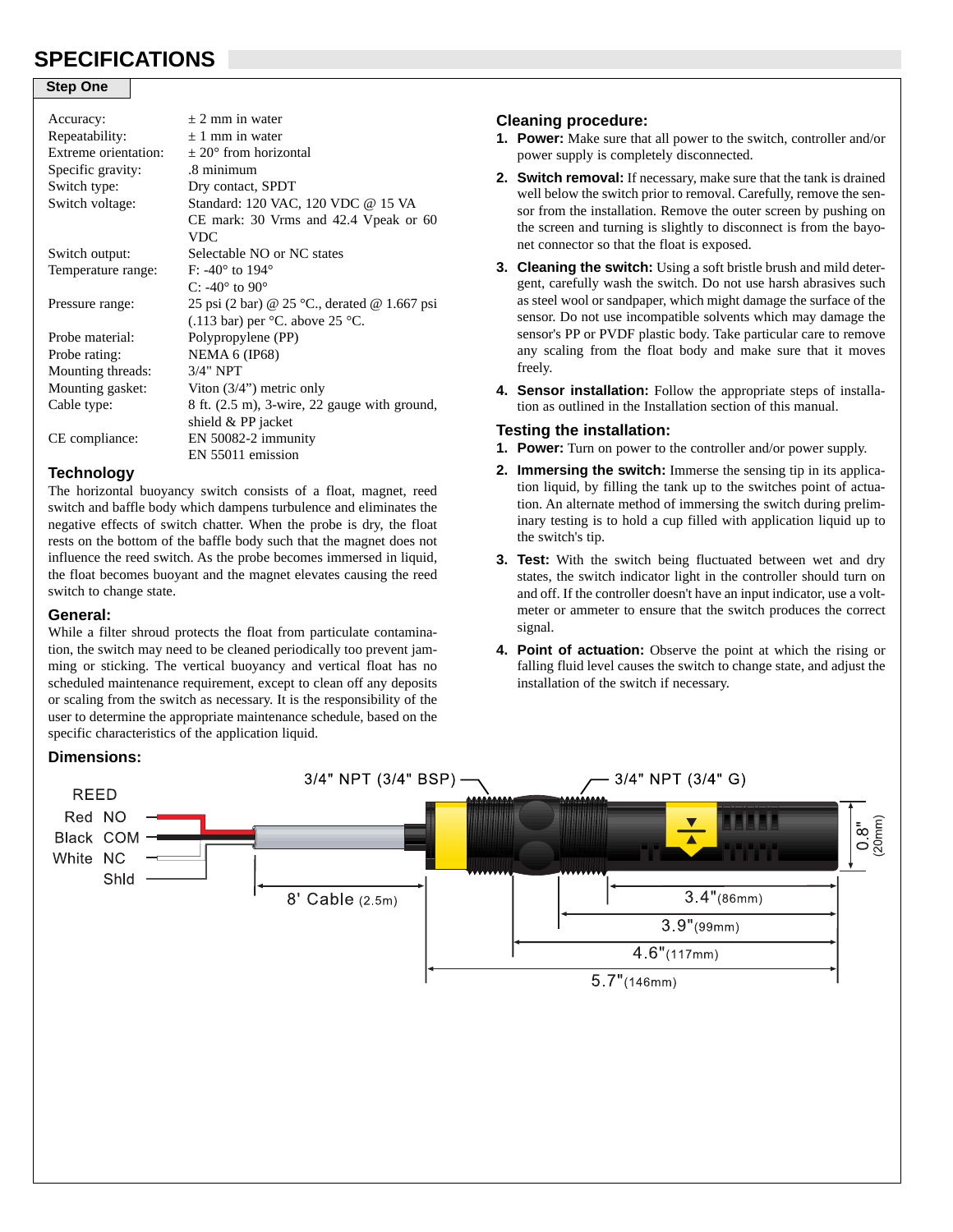# **SPECIFICATIONS**

#### **Step One**

| Accuracy:            | $\pm$ 2 mm in water                          |
|----------------------|----------------------------------------------|
| Repeatability:       | $\pm$ 1 mm in water                          |
| Extreme orientation: | $\pm$ 20 $^{\circ}$ from horizontal          |
| Specific gravity:    | .8 minimum                                   |
| Switch type:         | Dry contact, SPDT                            |
| Switch voltage:      | Standard: 120 VAC, 120 VDC @ 15 VA           |
|                      | $CE$ mark: 30 Vrms and 42.4 Vpeak or 60      |
|                      | VDC.                                         |
| Switch output:       | Selectable NO or NC states                   |
| Temperature range:   | F: $-40^{\circ}$ to $194^{\circ}$            |
|                      | C: -40 $\degree$ to 90 $\degree$             |
| Pressure range:      | 25 psi (2 bar) @ 25 °C., derated @ 1.667 psi |
|                      | $(.113 \text{ bar})$ per °C. above 25 °C.    |
| Probe material:      | Polypropylene (PP)                           |
| Probe rating:        | <b>NEMA 6 (IP68)</b>                         |
| Mounting threads:    | $3/4"$ NPT                                   |
| Mounting gasket:     | Viton $(3/4)$ metric only                    |
| Cable type:          | 8 ft. (2.5 m), 3-wire, 22 gauge with ground, |
|                      | shield $&$ PP jacket                         |
| CE compliance:       | EN 50082-2 immunity                          |
|                      | EN 55011 emission                            |

#### **Technology**

The horizontal buoyancy switch consists of a float, magnet, reed switch and baffle body which dampens turbulence and eliminates the negative effects of switch chatter. When the probe is dry, the float rests on the bottom of the baffle body such that the magnet does not influence the reed switch. As the probe becomes immersed in liquid, the float becomes buoyant and the magnet elevates causing the reed switch to change state.

#### **General:**

While a filter shroud protects the float from particulate contamination, the switch may need to be cleaned periodically too prevent jamming or sticking. The vertical buoyancy and vertical float has no scheduled maintenance requirement, except to clean off any deposits or scaling from the switch as necessary. It is the responsibility of the user to determine the appropriate maintenance schedule, based on the specific characteristics of the application liquid.

#### **Cleaning procedure:**

- **1. Power:** Make sure that all power to the switch, controller and/or power supply is completely disconnected.
- **2. Switch removal:** If necessary, make sure that the tank is drained well below the switch prior to removal. Carefully, remove the sensor from the installation. Remove the outer screen by pushing on the screen and turning is slightly to disconnect is from the bayonet connector so that the float is exposed.
- **3. Cleaning the switch:** Using a soft bristle brush and mild detergent, carefully wash the switch. Do not use harsh abrasives such as steel wool or sandpaper, which might damage the surface of the sensor. Do not use incompatible solvents which may damage the sensor's PP or PVDF plastic body. Take particular care to remove any scaling from the float body and make sure that it moves freely.
- **4. Sensor installation:** Follow the appropriate steps of installation as outlined in the Installation section of this manual.

## **Testing the installation:**

- **1. Power:** Turn on power to the controller and/or power supply.
- **2. Immersing the switch:** Immerse the sensing tip in its application liquid, by filling the tank up to the switches point of actuation. An alternate method of immersing the switch during preliminary testing is to hold a cup filled with application liquid up to the switch's tip.
- **3. Test:** With the switch being fluctuated between wet and dry states, the switch indicator light in the controller should turn on and off. If the controller doesn't have an input indicator, use a voltmeter or ammeter to ensure that the switch produces the correct signal.
- **4. Point of actuation:** Observe the point at which the rising or falling fluid level causes the switch to change state, and adjust the installation of the switch if necessary.

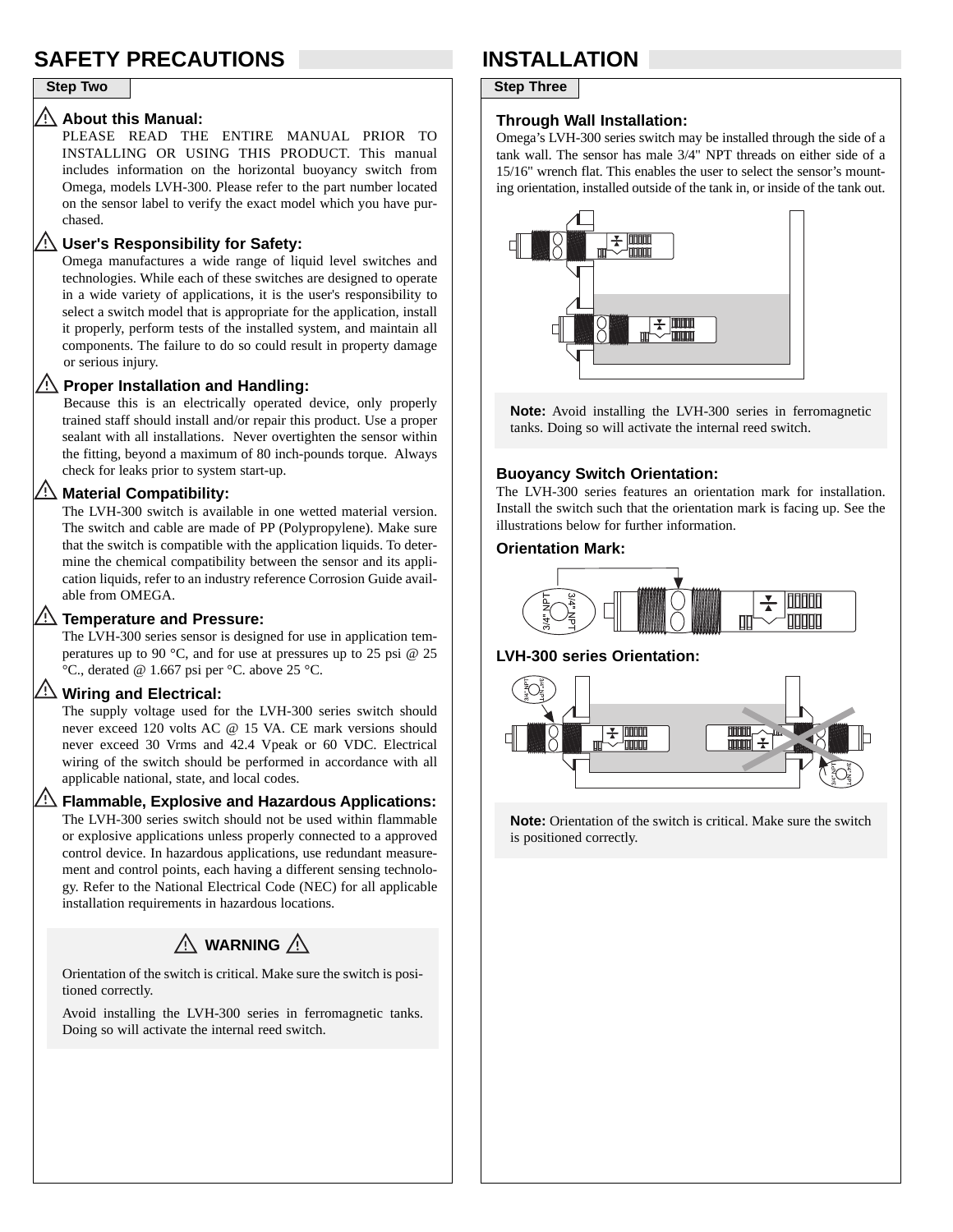# **SAFETY PRECAUTIONS INSTALLATION**

#### **About this Manual:**

PLEASE READ THE ENTIRE MANUAL PRIOR TO INSTALLING OR USING THIS PRODUCT. This manual includes information on the horizontal buoyancy switch from Omega, models LVH-300. Please refer to the part number located on the sensor label to verify the exact model which you have purchased.

### **User's Responsibility for Safety:**

Omega manufactures a wide range of liquid level switches and technologies. While each of these switches are designed to operate in a wide variety of applications, it is the user's responsibility to select a switch model that is appropriate for the application, install it properly, perform tests of the installed system, and maintain all components. The failure to do so could result in property damage or serious injury.

### **Proper Installation and Handling:**

Because this is an electrically operated device, only properly trained staff should install and/or repair this product. Use a proper sealant with all installations. Never overtighten the sensor within the fitting, beyond a maximum of 80 inch-pounds torque. Always check for leaks prior to system start-up.

## **Material Compatibility:**

The LVH-300 switch is available in one wetted material version. The switch and cable are made of PP (Polypropylene). Make sure that the switch is compatible with the application liquids. To determine the chemical compatibility between the sensor and its application liquids, refer to an industry reference Corrosion Guide available from OMEGA.

### **Temperature and Pressure:**

The LVH-300 series sensor is designed for use in application temperatures up to 90 °C, and for use at pressures up to 25 psi @ 25 °C., derated @ 1.667 psi per °C. above 25 °C.

## **Wiring and Electrical:**

The supply voltage used for the LVH-300 series switch should never exceed 120 volts AC @ 15 VA. CE mark versions should never exceed 30 Vrms and 42.4 Vpeak or 60 VDC. Electrical wiring of the switch should be performed in accordance with all applicable national, state, and local codes.

## **Flammable, Explosive and Hazardous Applications:**

The LVH-300 series switch should not be used within flammable or explosive applications unless properly connected to a approved control device. In hazardous applications, use redundant measurement and control points, each having a different sensing technology. Refer to the National Electrical Code (NEC) for all applicable installation requirements in hazardous locations.

# $\triangle$  WARNING  $\triangle$

Orientation of the switch is critical. Make sure the switch is positioned correctly.

Avoid installing the LVH-300 series in ferromagnetic tanks. Doing so will activate the internal reed switch.

## **Step Two**

#### **Through Wall Installation:**

Omega's LVH-300 series switch may be installed through the side of a tank wall. The sensor has male 3/4" NPT threads on either side of a 15/16" wrench flat. This enables the user to select the sensor's mounting orientation, installed outside of the tank in, or inside of the tank out.



**Note:** Avoid installing the LVH-300 series in ferromagnetic tanks. Doing so will activate the internal reed switch.

## **Buoyancy Switch Orientation:**

The LVH-300 series features an orientation mark for installation. Install the switch such that the orientation mark is facing up. See the illustrations below for further information.

#### **Orientation Mark:**



#### **LVH-300 series Orientation:**



**Note:** Orientation of the switch is critical. Make sure the switch is positioned correctly.